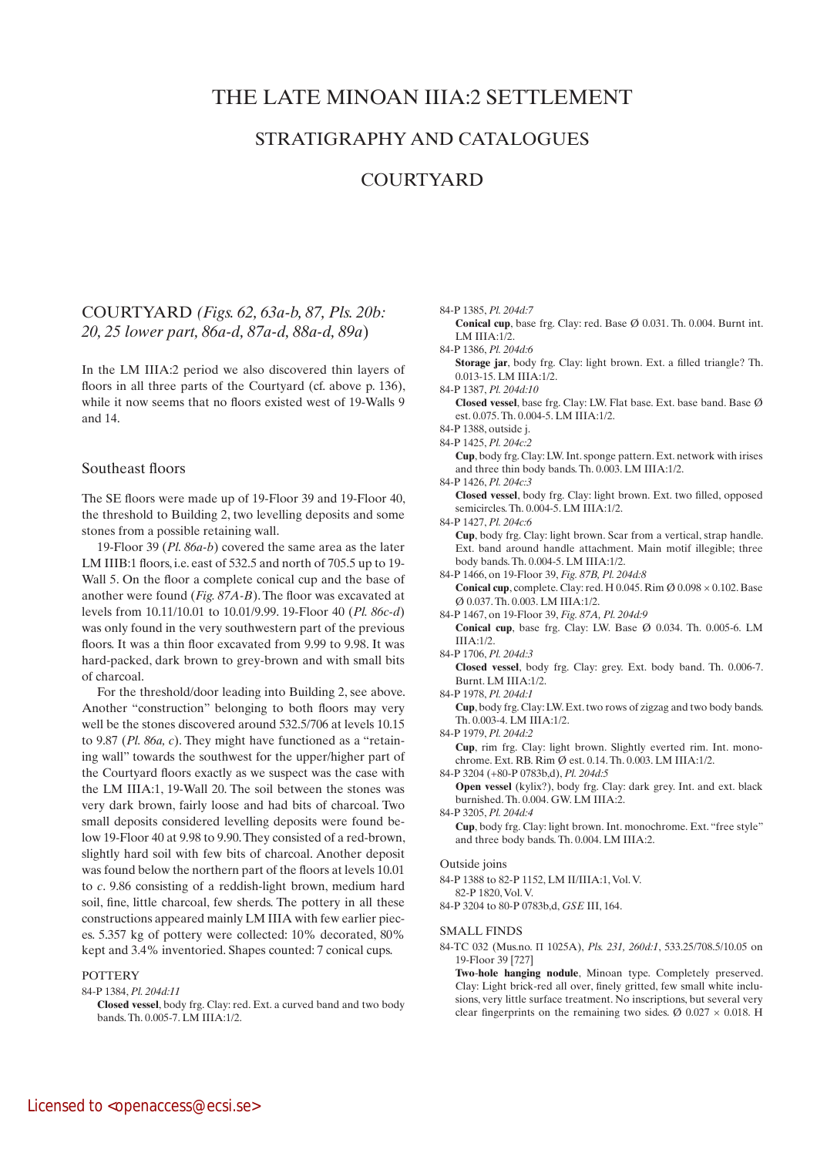# THE LATE MINOAN IIIA:2 SETTLEMENT

# STRATIGRAPHY AND CATALOGUES

# **COURTYARD**

## COURTYARD *(Figs. 62, 63a-b, 87, Pls. 20b: 20, 25 lower part, 86a-d, 87a-d, 88a-d, 89a*)

In the LM IIIA:2 period we also discovered thin layers of floors in all three parts of the Courtyard (cf. above p. 136), while it now seems that no floors existed west of 19-Walls 9 and 14.

## Southeast floors

The SE floors were made up of 19-Floor 39 and 19-Floor 40, the threshold to Building 2, two levelling deposits and some stones from a possible retaining wall.

19-Floor 39 (*Pl. 86a-b*) covered the same area as the later LM IIIB:1 floors, i.e. east of 532.5 and north of 705.5 up to 19- Wall 5. On the floor a complete conical cup and the base of another were found (*Fig. 87A-B*). The floor was excavated at levels from 10.11/10.01 to 10.01/9.99. 19-Floor 40 (*Pl. 86c-d*) was only found in the very southwestern part of the previous floors. It was a thin floor excavated from 9.99 to 9.98. It was hard-packed, dark brown to grey-brown and with small bits of charcoal.

For the threshold/door leading into Building 2, see above. Another "construction" belonging to both floors may very well be the stones discovered around 532.5/706 at levels 10.15 to 9.87 (*Pl. 86a, c*). They might have functioned as a "retaining wall" towards the southwest for the upper/higher part of the Courtyard floors exactly as we suspect was the case with the LM IIIA:1, 19-Wall 20. The soil between the stones was very dark brown, fairly loose and had bits of charcoal. Two small deposits considered levelling deposits were found below 19-Floor 40 at 9.98 to 9.90. They consisted of a red-brown, slightly hard soil with few bits of charcoal. Another deposit was found below the northern part of the floors at levels 10.01 to *c*. 9.86 consisting of a reddish-light brown, medium hard soil, fine, little charcoal, few sherds. The pottery in all these constructions appeared mainly LM IIIA with few earlier pieces. 5.357 kg of pottery were collected: 10% decorated, 80% kept and 3.4% inventoried. Shapes counted: 7 conical cups.

## **POTTERY**

## 84-P 1384, *Pl. 204d:11*

 **Closed vessel**, body frg. Clay: red. Ext. a curved band and two body bands. Th. 0.005-7. LM IIIA:1/2.

- 84-P 1385, *Pl. 204d:7*
- **Conical cup**, base frg. Clay: red. Base Ø 0.031. Th. 0.004. Burnt int. LM IIIA:1/2.
- 84-P 1386, *Pl. 204d:6*

**Storage jar**, body frg. Clay: light brown. Ext. a filled triangle? Th. 0.013-15. LM IIIA:1/2.

- 84-P 1387, *Pl. 204d:10*  **Closed vessel**, base frg. Clay: LW. Flat base. Ext. base band. Base Ø est. 0.075. Th. 0.004-5. LM IIIA:1/2.
- 84-P 1388, outside j.
- 84-P 1425, *Pl. 204c:2*

 **Cup**, body frg. Clay: LW. Int. sponge pattern. Ext. network with irises and three thin body bands. Th. 0.003. LM IIIA:1/2.

84-P 1426, *Pl. 204c:3*

 **Closed vessel**, body frg. Clay: light brown. Ext. two filled, opposed semicircles. Th. 0.004-5. LM IIIA:1/2.

84-P 1427, *Pl. 204c:6*  **Cup**, body frg. Clay: light brown. Scar from a vertical, strap handle. Ext. band around handle attachment. Main motif illegible; three body bands. Th. 0.004-5. LM IIIA:1/2.

84-P 1466, on 19-Floor 39, *Fig. 87B, Pl. 204d:8*

**Conical cup**, complete. Clay: red. H 0.045. Rim  $\emptyset$  0.098  $\times$  0.102. Base Ø 0.037. Th. 0.003. LM IIIA:1/2.

- 84-P 1467, on 19-Floor 39, *Fig. 87A, Pl. 204d:9*
	- **Conical cup**, base frg. Clay: LW. Base Ø 0.034. Th. 0.005-6. LM IIIA:1/2.
- 84-P 1706, *Pl. 204d:3*

 **Closed vessel**, body frg. Clay: grey. Ext. body band. Th. 0.006-7. Burnt. LM IIIA:1/2.

84-P 1978, *Pl. 204d:1*

 **Cup**, body frg. Clay: LW. Ext. two rows of zigzag and two body bands. Th. 0.003-4. LM IIIA:1/2.

84-P 1979, *Pl. 204d:2*

 **Cup**, rim frg. Clay: light brown. Slightly everted rim. Int. monochrome. Ext. RB. Rim Ø est. 0.14. Th. 0.003. LM IIIA:1/2. 84-P 3204 (+80-P 0783b,d), *Pl. 204d:5*

 **Open vessel** (kylix?), body frg. Clay: dark grey. Int. and ext. black burnished. Th. 0.004. GW. LM IIIA:2.

84-P 3205, *Pl. 204d:4*

 **Cup**, body frg. Clay: light brown. Int. monochrome. Ext. "free style" and three body bands. Th. 0.004. LM IIIA:2.

### Outside joins

84-P 1388 to 82-P 1152, LM II/IIIA:1, Vol. V.

82-P 1820, Vol. V.

84-P 3204 to 80-P 0783b,d, *GSE* III, 164.

#### SMALL FINDS

84-TC 032 (Mus.no. Π 1025A), *Pls. 231, 260d:1*, 533.25/708.5/10.05 on 19-Floor 39 [727]

 **Two**-**hole hanging nodule**, Minoan type. Completely preserved. Clay: Light brick-red all over, finely gritted, few small white inclusions, very little surface treatment. No inscriptions, but several very clear fingerprints on the remaining two sides.  $\varnothing$  0.027  $\times$  0.018. H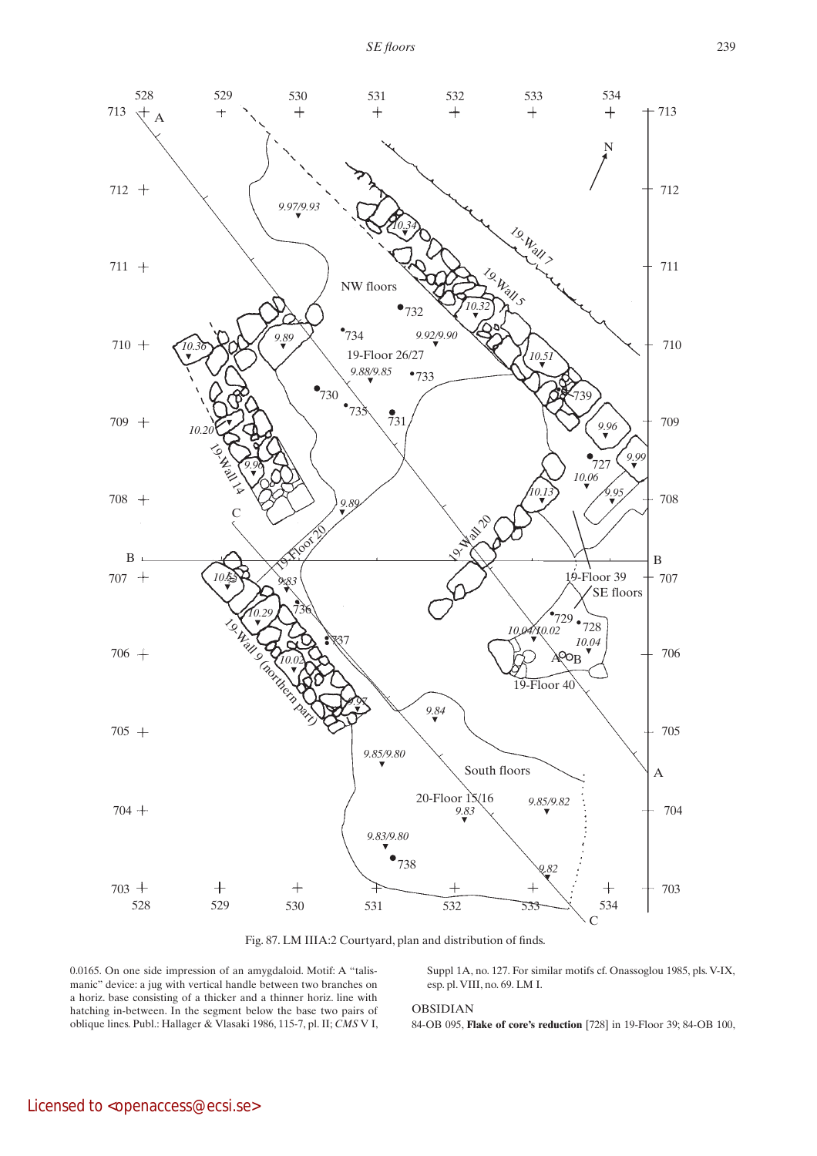

Fig. 87. LM IIIA:2 Courtyard, plan and distribution of finds.

0.0165. On one side impression of an amygdaloid. Motif: A "talismanic" device: a jug with vertical handle between two branches on a horiz. base consisting of a thicker and a thinner horiz. line with hatching in-between. In the segment below the base two pairs of oblique lines. Publ.: Hallager & Vlasaki 1986, 115-7, pl. II; *CMS* V I, Suppl 1A, no. 127. For similar motifs cf. Onassoglou 1985, pls. V-IX, esp. pl. VIII, no. 69. LM I.

## OBSIDIAN

84-OB 095, **Flake of core's reduction** [728] in 19-Floor 39; 84-OB 100,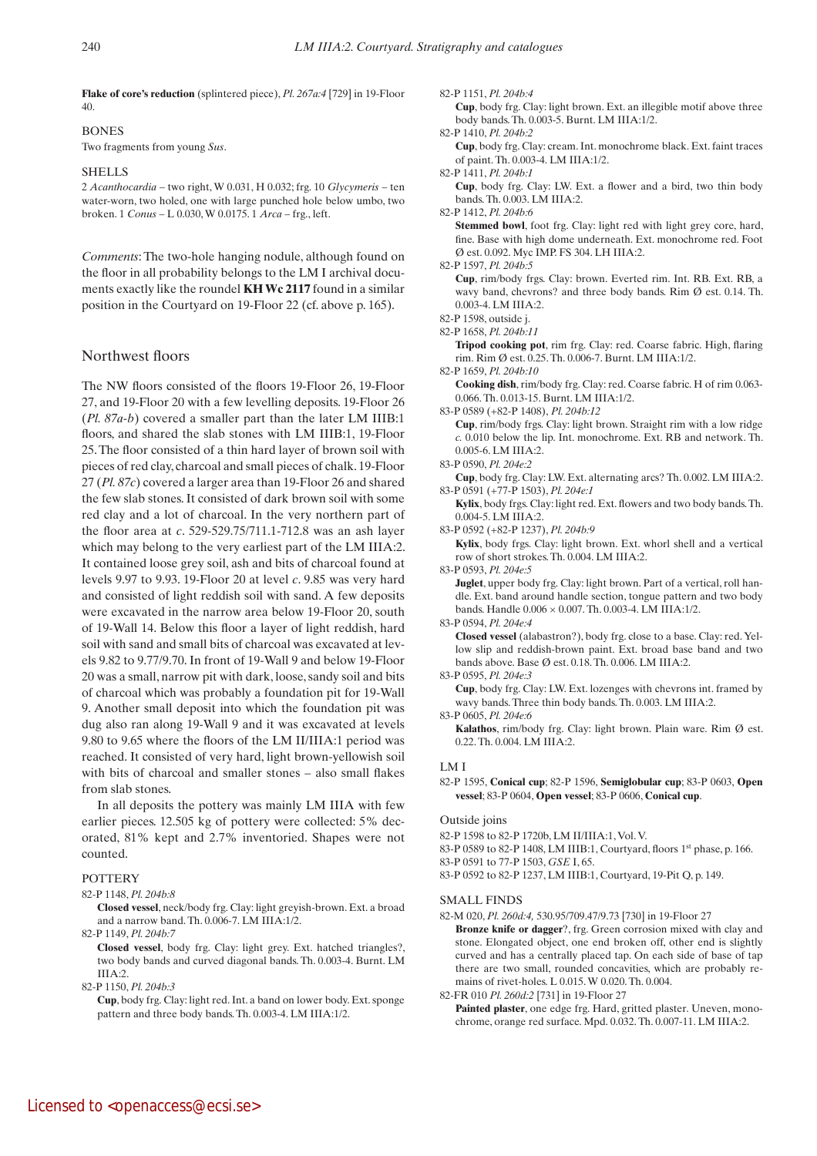**Flake of core's reduction** (splintered piece), *Pl. 267a:4* [729] in 19-Floor 40.

# BONES

Two fragments from young *Sus*.

### SHELLS

2 *Acanthocardia* – two right, W 0.031, H 0.032; frg. 10 *Glycymeris* – ten water-worn, two holed, one with large punched hole below umbo, two broken. 1 *Conus* – L 0.030, W 0.0175. 1 *Arca* – frg., left.

*Comments*: The two-hole hanging nodule, although found on the floor in all probability belongs to the LM I archival documents exactly like the roundel **KHWc 2117** found in a similar position in the Courtyard on 19-Floor 22 (cf. above p. 165).

## Northwest floors

The NW floors consisted of the floors 19-Floor 26, 19-Floor 27, and 19-Floor 20 with a few levelling deposits. 19-Floor 26 (*Pl. 87a-b*) covered a smaller part than the later LM IIIB:1 floors, and shared the slab stones with LM IIIB:1, 19-Floor 25. The floor consisted of a thin hard layer of brown soil with pieces of red clay, charcoal and small pieces of chalk. 19-Floor 27 (*Pl. 87c*) covered a larger area than 19-Floor 26 and shared the few slab stones. It consisted of dark brown soil with some red clay and a lot of charcoal. In the very northern part of the floor area at *c*. 529-529.75/711.1-712.8 was an ash layer which may belong to the very earliest part of the LM IIIA:2. It contained loose grey soil, ash and bits of charcoal found at levels 9.97 to 9.93. 19-Floor 20 at level *c*. 9.85 was very hard and consisted of light reddish soil with sand. A few deposits were excavated in the narrow area below 19-Floor 20, south of 19-Wall 14. Below this floor a layer of light reddish, hard soil with sand and small bits of charcoal was excavated at levels 9.82 to 9.77/9.70. In front of 19-Wall 9 and below 19-Floor 20 was a small, narrow pit with dark, loose, sandy soil and bits of charcoal which was probably a foundation pit for 19-Wall 9. Another small deposit into which the foundation pit was dug also ran along 19-Wall 9 and it was excavated at levels 9.80 to 9.65 where the floors of the LM II/IIIA:1 period was reached. It consisted of very hard, light brown-yellowish soil with bits of charcoal and smaller stones – also small flakes from slab stones.

In all deposits the pottery was mainly LM IIIA with few earlier pieces. 12.505 kg of pottery were collected: 5% decorated, 81% kept and 2.7% inventoried. Shapes were not counted.

## **POTTERY**

## 82-P 1148, *Pl. 204b:8*

 **Closed vessel**, neck/body frg. Clay: light greyish-brown. Ext. a broad and a narrow band. Th. 0.006-7. LM IIIA:1/2.

82-P 1149, *Pl. 204b:7*

 **Closed vessel**, body frg. Clay: light grey. Ext. hatched triangles?, two body bands and curved diagonal bands. Th. 0.003-4. Burnt. LM IIIA:2.

82-P 1150, *Pl. 204b:3*

82-P 1151, *Pl. 204b:4*

 **Cup**, body frg. Clay: light brown. Ext. an illegible motif above three body bands. Th. 0.003-5. Burnt. LM IIIA:1/2.

82-P 1410, *Pl. 204b:2*

 **Cup**, body frg. Clay: cream. Int. monochrome black. Ext. faint traces of paint. Th. 0.003-4. LM IIIA:1/2.

82-P 1411, *Pl. 204b:1*

 **Cup**, body frg. Clay: LW. Ext. a flower and a bird, two thin body bands. Th. 0.003. LM IIIA:2.

82-P 1412, *Pl. 204b:6*

 **Stemmed bowl**, foot frg. Clay: light red with light grey core, hard, fine. Base with high dome underneath. Ext. monochrome red. Foot Ø est. 0.092. Myc IMP. FS 304. LH IIIA:2.

82-P 1597, *Pl. 204b:5*

 **Cup**, rim/body frgs. Clay: brown. Everted rim. Int. RB. Ext. RB, a wavy band, chevrons? and three body bands. Rim Ø est. 0.14. Th. 0.003-4. LM IIIA:2.

82-P 1598, outside j.

82-P 1658, *Pl. 204b:11*

 **Tripod cooking pot**, rim frg. Clay: red. Coarse fabric. High, flaring rim. Rim Ø est. 0.25. Th. 0.006-7. Burnt. LM IIIA:1/2.

82-P 1659, *Pl. 204b:10*

 **Cooking dish**, rim/body frg. Clay: red. Coarse fabric. H of rim 0.063- 0.066. Th. 0.013-15. Burnt. LM IIIA:1/2.

83-P 0589 (+82-P 1408), *Pl. 204b:12*

 **Cup**, rim/body frgs. Clay: light brown. Straight rim with a low ridge *c.* 0.010 below the lip. Int. monochrome. Ext. RB and network. Th. 0.005-6. LM IIIA:2.

83-P 0590, *Pl. 204e:2*

 **Cup**, body frg. Clay: LW. Ext. alternating arcs? Th. 0.002. LM IIIA:2. 83-P 0591 (+77-P 1503), *Pl. 204e:1*

 **Kylix**, body frgs. Clay: light red. Ext. flowers and two body bands. Th. 0.004-5. LM IIIA:2.

83-P 0592 (+82-P 1237), *Pl. 204b:9*

Kylix, body frgs. Clay: light brown. Ext. whorl shell and a vertical row of short strokes. Th. 0.004. LM IIIA:2.

83-P 0593, *Pl. 204e:5*

 **Juglet**, upper body frg. Clay: light brown. Part of a vertical, roll handle. Ext. band around handle section, tongue pattern and two body bands. Handle 0.006 × 0.007. Th. 0.003-4. LM IIIA:1/2.

83-P 0594, *Pl. 204e:4*

 **Closed vessel** (alabastron?), body frg. close to a base. Clay: red. Yellow slip and reddish-brown paint. Ext. broad base band and two bands above. Base Ø est. 0.18. Th. 0.006. LM IIIA:2.

83-P 0595, *Pl. 204e:3*

- **Cup**, body frg. Clay: LW. Ext. lozenges with chevrons int. framed by wavy bands. Three thin body bands. Th. 0.003. LM IIIA:2.
- 83-P 0605, *Pl. 204e:6*

 **Kalathos**, rim/body frg. Clay: light brown. Plain ware. Rim Ø est. 0.22. Th. 0.004. LM IIIA:2.

#### LM I

82-P 1595, **Conical cup**; 82-P 1596, **Semiglobular cup**; 83-P 0603, **Open vessel**; 83-P 0604, **Open vessel**; 83-P 0606, **Conical cup**.

Outside joins

82-P 1598 to 82-P 1720b, LM II/IIIA:1, Vol. V.

83-P 0589 to 82-P 1408, LM IIIB:1, Courtyard, floors 1st phase, p. 166. 83-P 0591 to 77-P 1503, *GSE* I, 65.

83-P 0592 to 82-P 1237, LM IIIB:1, Courtyard, 19-Pit Q, p. 149.

#### SMALL FINDS

82-M 020, *Pl. 260d:4,* 530.95/709.47/9.73 [730] in 19-Floor 27

 **Bronze knife or dagger**?, frg. Green corrosion mixed with clay and stone. Elongated object, one end broken off, other end is slightly curved and has a centrally placed tap. On each side of base of tap there are two small, rounded concavities, which are probably remains of rivet-holes. L 0.015. W 0.020. Th. 0.004.

82-FR 010 *Pl. 260d:2* [731] in 19-Floor 27

Painted plaster, one edge frg. Hard, gritted plaster. Uneven, monochrome, orange red surface. Mpd. 0.032. Th. 0.007-11. LM IIIA:2.

**Cup**, body frg. Clay: light red. Int. a band on lower body. Ext. sponge pattern and three body bands. Th. 0.003-4. LM IIIA:1/2.